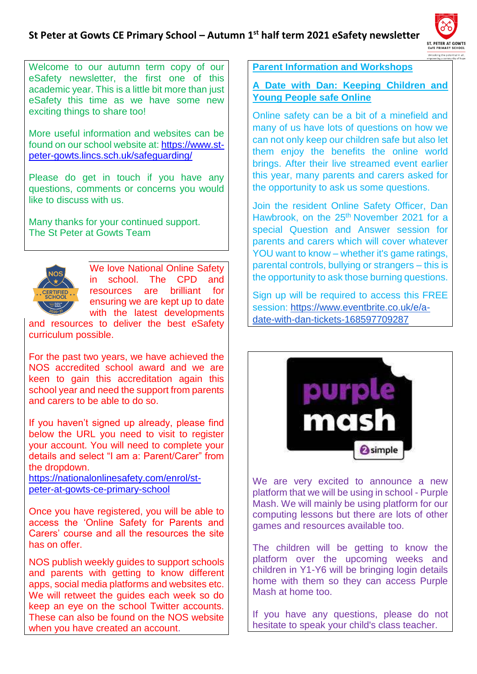#### **St Peter at Gowts CE Primary School – Autumn 1st half term 2021 eSafety newsletter**



Welcome to our autumn term copy of our eSafety newsletter, the first one of this academic year. This is a little bit more than just eSafety this time as we have some new exciting things to share too!

More useful information and websites can be found on our school website at: [https://www.st](https://www.st-peter-gowts.lincs.sch.uk/safeguarding/)[peter-gowts.lincs.sch.uk/safeguarding/](https://www.st-peter-gowts.lincs.sch.uk/safeguarding/)

Please do get in touch if you have any questions, comments or concerns you would like to discuss with us.

Many thanks for your continued support. The St Peter at Gowts Team



We love National Online Safety in school. The CPD and resources are brilliant for ensuring we are kept up to date with the latest developments

and resources to deliver the best eSafety curriculum possible.

For the past two years, we have achieved the NOS accredited school award and we are keen to gain this accreditation again this school year and need the support from parents and carers to be able to do so.

If you haven't signed up already, please find below the URL you need to visit to register your account. You will need to complete your details and select "I am a: Parent/Carer" from the dropdown.

[https://nationalonlinesafety.com/enrol/st](https://nationalonlinesafety.com/enrol/st-peter-at-gowts-ce-primary-school)[peter-at-gowts-ce-primary-school](https://nationalonlinesafety.com/enrol/st-peter-at-gowts-ce-primary-school)

Once you have registered, you will be able to access the 'Online Safety for Parents and Carers' course and all the resources the site has on offer.

NOS publish weekly guides to support schools and parents with getting to know different apps, social media platforms and websites etc. We will retweet the quides each week so do keep an eye on the school Twitter accounts. These can also be found on the NOS website when you have created an account.

**Parent Information and Workshops**

**A Date with Dan: Keeping Children and Young People safe Online**

Online safety can be a bit of a minefield and many of us have lots of questions on how we can not only keep our children safe but also let them enjoy the benefits the online world brings. After their live streamed event earlier this year, many parents and carers asked for the opportunity to ask us some questions.

Join the resident Online Safety Officer, Dan Hawbrook, on the 25<sup>th</sup> November 2021 for a special Question and Answer session for parents and carers which will cover whatever YOU want to know – whether it's game ratings, parental controls, bullying or strangers – this is the opportunity to ask those burning questions.

Sign up will be required to access this FREE session: [https://www.eventbrite.co.uk/e/a](https://www.eventbrite.co.uk/e/a-date-with-dan-tickets-168597709287)[date-with-dan-tickets-168597709287](https://www.eventbrite.co.uk/e/a-date-with-dan-tickets-168597709287)



We are very excited to announce a new platform that we will be using in school - Purple Mash. We will mainly be using platform for our computing lessons but there are lots of other games and resources available too.

The children will be getting to know the platform over the upcoming weeks and children in Y1-Y6 will be bringing login details home with them so they can access Purple Mash at home too.

If you have any questions, please do not hesitate to speak your child's class teacher.